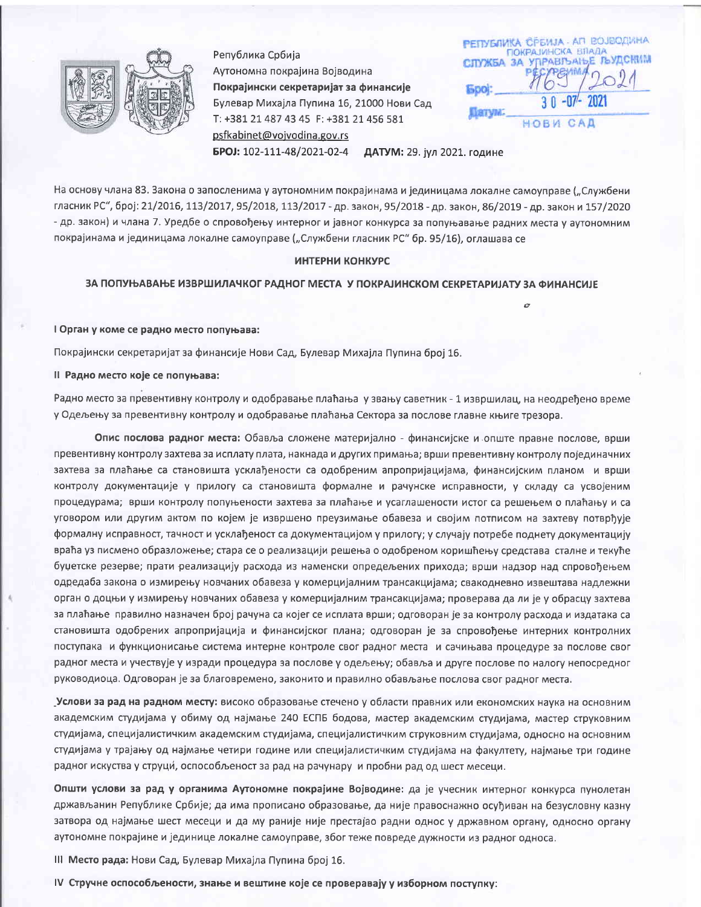

Република Србија Аутономна покрајина Војводина Покрајински секретаријат за финансије Булевар Михајла Пупина 16, 21000 Нови Сад T: +381 21 487 43 45 F: +381 21 456 581 psfkabinet@vojvodina.gov.rs

РЕПУБЛИКА СРЕИЈА - АП ВОЈВОДИНА ПОКРАЈИНСКА ВЛАДА УПРАВЉАЊЕ ЉУДСКИМ СЛУЖБА ЗА **Spol:** Патум CAD НОВИ

БРОЈ: 102-111-48/2021-02-4 ДАТУМ: 29. јул 2021. године

На основу члана 83. Закона о запосленима у аутономним покрајинама и јединицама локалне самоуправе ("Службени гласник РС", број: 21/2016, 113/2017, 95/2018, 113/2017 - др. закон, 95/2018 - др. закон, 86/2019 - др. закон и 157/2020 - др. закон) и члана 7. Уредбе о спровођењу интерног и јавног конкурса за попуњавање радних места у аутономним покрајинама и јединицама локалне самоуправе ("Службени гласник РС" бр. 95/16), оглашава се

# ИНТЕРНИ КОНКУРС

# ЗА ПОПУЊАВАЊЕ ИЗВРШИЛАЧКОГ РАДНОГ МЕСТА У ПОКРАЈИНСКОМ СЕКРЕТАРИЈАТУ ЗА ФИНАНСИЈЕ

I Орган у коме се радно место попуњава:

Покрајински секретаријат за финансије Нови Сад, Булевар Михајла Пупина број 16.

Il Радно место које се попуњава:

Радно место за превентивну контролу и одобравање плаћања у звању саветник - 1 извршилац, на неодређено време у Одељењу за превентивну контролу и одобравање плаћања Сектора за послове главне књиге трезора.

Опис послова радног места: Обавља сложене материјално - финансијске и опште правне послове, врши превентивну контролу захтева за исплату плата, накнада и других примања; врши превентивну контролу појединачних захтева за плаћање са становишта усклађености са одобреним апропријацијама, финансијским планом и врши контролу документације у прилогу са становишта формалне и рачунске исправности, у складу са усвојеним процедурама; врши контролу попуњености захтева за плаћање и усаглашености истог са решењем о плаћању и са уговором или другим актом по којем је извршено преузимање обавеза и својим потписом на захтеву потврђује формалну исправност, тачност и усклађеност са документацијом у прилогу; у случају потребе поднету документацију враћа уз писмено образложење; стара се о реализацији решења о одобреном коришћењу средстава сталне и текуће буџетске резерве; прати реализацију расхода из наменски опредељених прихода; врши надзор над спровођењем одредаба закона о измирењу новчаних обавеза у комерцијалним трансакцијама; свакодневно извештава надлежни орган о доцњи у измирењу новчаних обавеза у комерцијалним трансакцијама; проверава да ли је у обрасцу захтева за плаћање правилно назначен број рачуна са којег се исплата врши; одговоран је за контролу расхода и издатака са становишта одобрених апропријација и финансијског плана; одговоран је за спровођење интерних контролних поступака и функционисање система интерне контроле свог радног места и сачињава процедуре за послове свог радног места и учествује у изради процедура за послове у одељењу; обавља и друге послове по налогу непосредног руководиоца. Одговоран је за благовремено, законито и правилно обављање послова свог радног места.

Услови за рад на радном месту: високо образовање стечено у области правних или економских наука на основним академским студијама у обиму од најмање 240 ЕСПБ бодова, мастер академским студијама, мастер струковним студијама, специјалистичким академским студијама, специјалистичким струковним студијама, односно на основним студијама у трајању од најмање четири године или специјалистичким студијама на факултету, најмање три године радног искуства у струци, оспособљеност за рад на рачунару и пробни рад од шест месеци.

Општи услови за рад у органима Аутономне покрајине Војводине: да је учесник интерног конкурса пунолетан држављанин Републике Србије; да има прописано образовање, да није правоснажно осуђиван на безусловну казну затвора од најмање шест месеци и да му раније није престајао радни однос у државном органу, односно органу аутономне покрајине и јединице локалне самоуправе, због теже повреде дужности из радног односа.

III Место рада: Нови Сад, Булевар Михајла Пупина број 16.

IV Стручне оспособљености, знање и вештине које се проверавају у изборном поступку: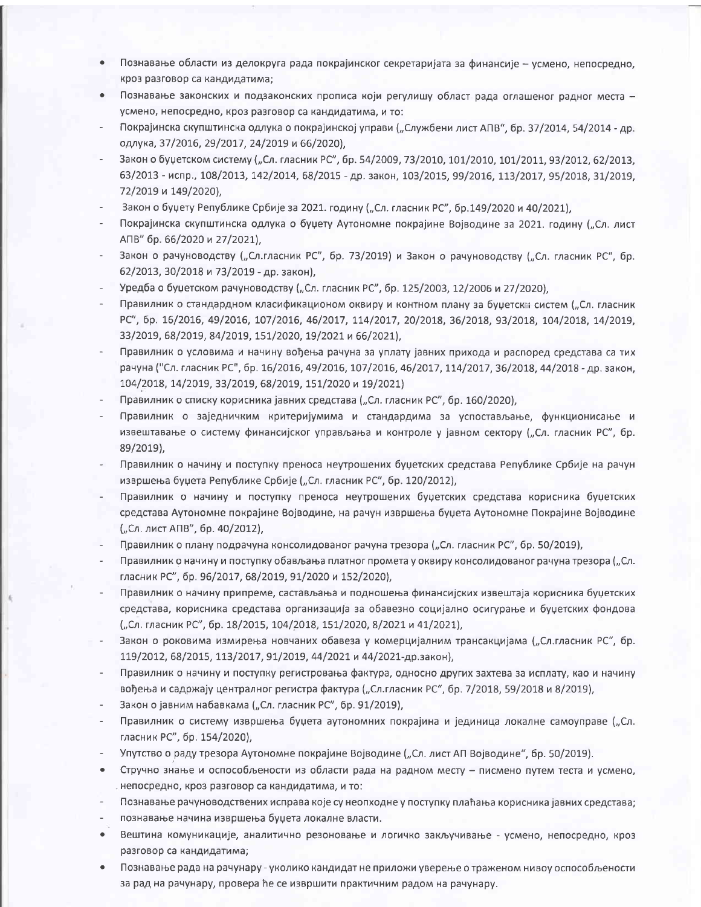- Познавање области из делокруга рада покрајинског секретаријата за финансије усмено, непосредно,  $\bullet$ кроз разговор са кандидатима;
- Познавање законских и подзаконских прописа који регулишу област рада оглашеног радног места - $\bullet$ усмено, непосредно, кроз разговор са кандидатима, и то:
- Покрајинска скупштинска одлука о покрајинској управи ("Службени лист АПВ", бр. 37/2014, 54/2014 др. одлука, 37/2016, 29/2017, 24/2019 и 66/2020),
- Закон о буџетском систему ("Сл. гласник РС", бр. 54/2009, 73/2010, 101/2010, 101/2011, 93/2012, 62/2013, 63/2013 - испр., 108/2013, 142/2014, 68/2015 - др. закон, 103/2015, 99/2016, 113/2017, 95/2018, 31/2019, 72/2019 и 149/2020).
- Закон о буџету Републике Србије за 2021. годину ("Сл. гласник РС", бр.149/2020 и 40/2021),
- Покрајинска скупштинска одлука о буџету Аутономне покрајине Војводине за 2021. годину ("Сл. лист АПВ" бр. 66/2020 и 27/2021),
- Закон о рачуноводству ("Сл.гласник РС", бр. 73/2019) и Закон о рачуноводству ("Сл. гласник РС", бр. 62/2013, 30/2018 и 73/2019 - др. закон),
- Уредба о буџетском рачуноводству ("Сл. гласник РС", бр. 125/2003, 12/2006 и 27/2020),
- Правилник о стандардном класификационом оквиру и контном плану за буџетски систем ("Сл. гласник PC", 6p. 16/2016, 49/2016, 107/2016, 46/2017, 114/2017, 20/2018, 36/2018, 93/2018, 104/2018, 14/2019, 33/2019, 68/2019, 84/2019, 151/2020, 19/2021 и 66/2021),
- Правилник о условима и начину вођења рачуна за уплату јавних прихода и распоред средстава са тих рачуна ("Сл. гласник РС", бр. 16/2016, 49/2016, 107/2016, 46/2017, 114/2017, 36/2018, 44/2018 - др. закон, 104/2018, 14/2019, 33/2019, 68/2019, 151/2020 и 19/2021)
- Правилник о списку корисника јавних средстава ("Сл. гласник РС", бр. 160/2020),
- Правилник о заједничким критеријумима и стандардима за успостављање, функционисање и извештавање о систему финансијског управљања и контроле у јавном сектору ("Сл. гласник РС", бр. 89/2019),
- Правилник о начину и поступку преноса неутрошених буџетских средстава Републике Србије на рачун извршења буџета Републике Србије ("Сл. гласник РС", бр. 120/2012).
- Правилник о начину и поступку преноса неутрошених буџетских средстава корисника буџетских средстава Аутономне покрајине Војводине, на рачун извршења буџета Аутономне Покрајине Војводине ("Сл. лист АПВ", бр. 40/2012),
- Правилник о плану подрачуна консолидованог рачуна трезора ("Сл. гласник РС", бр. 50/2019),
- Правилник о начину и поступку обављања платног промета у оквиру консолидованог рачуна трезора ("Сл. гласник РС", бр. 96/2017, 68/2019, 91/2020 и 152/2020),
- Правилник о начину припреме, састављања и подношења финансијских извештаја корисника буџетских средстава, корисника средстава организација за обавезно социјално осигурање и буџетских фондова ("Сл. гласник РС", бр. 18/2015, 104/2018, 151/2020, 8/2021 и 41/2021),
- Закон о роковима измирења новчаних обавеза у комерцијалним трансакцијама ("Сл.гласник РС", бр. 119/2012, 68/2015, 113/2017, 91/2019, 44/2021 и 44/2021-др.закон),
- Правилник о начину и поступку регистровања фактура, односно других захтева за исплату, као и начину вођења и садржају централног регистра фактура ("Сл.гласник РС", бр. 7/2018, 59/2018 и 8/2019),
- Закон о јавним набавкама ("Сл. гласник РС", бр. 91/2019),
- Правилник о систему извршења буџета аутономних покрајина и јединица локалне самоуправе ("Сл. гласник РС", бр. 154/2020),
- Упутство о раду трезора Аутономне покрајине Војводине ("Сл. лист АП Војводине", бр. 50/2019).
- Стручно знање и оспособљености из области рада на радном месту писмено путем теста и усмено,  $\bullet$ непосредно, кроз разговор са кандидатима, и то:
- Познавање рачуноводствених исправа које су неопходне у поступку плаћања корисника јавних средстава;
- познавање начина извршења буџета локалне власти.
- Вештина комуникације, аналитично резоновање и логичко закључивање усмено, непосредно, кроз разговор са кандидатима;
- Познавање рада на рачунару уколико кандидат не приложи уверење о траженом нивоу оспособљености за рад на рачунару, провера ће се извршити практичним радом на рачунару.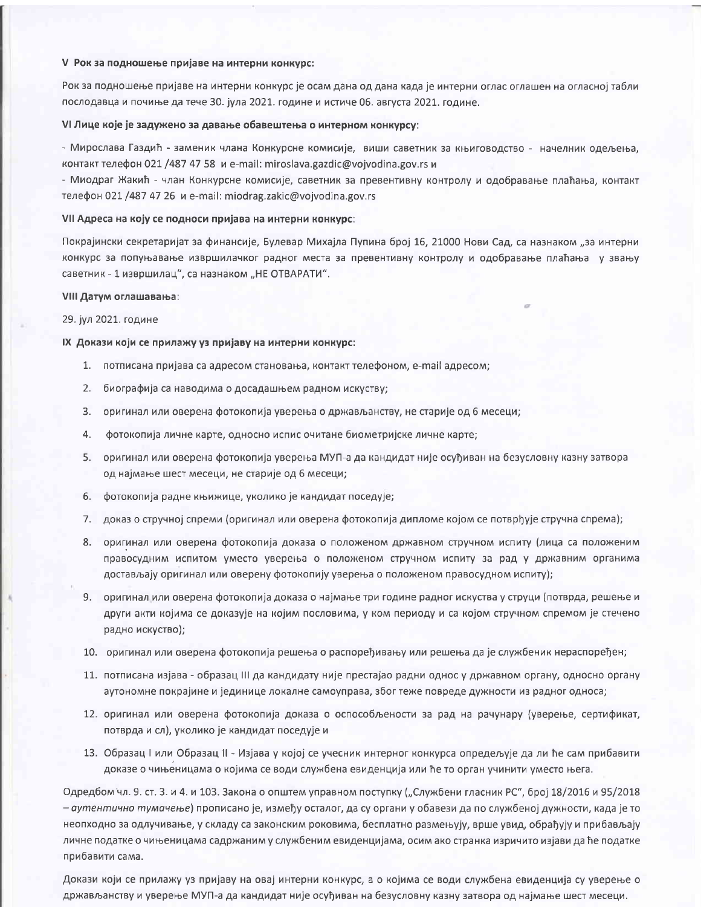## V Рок за подношење пријаве на интерни конкурс:

Рок за подношење пријаве на интерни конкурс је осам дана од дана када је интерни оглас оглашен на огласној табли послодавца и почиње да тече 30. јула 2021. године и истиче 06. августа 2021. године.

# VI Лице које је задужено за давање обавештења о интерном конкурсу:

- Мирослава Газдић - заменик члана Конкурсне комисије, виши саветник за књиговодство - начелник одељења, контакт телефон 021 /487 47 58 и e-mail: miroslava.gazdic@vojvodina.gov.rs и

- Миодраг Жакић - члан Конкурсне комисије, саветник за превентивну контролу и одобравање плаћања, контакт телефон 021 /487 47 26 и e-mail: miodrag.zakic@vojvodina.gov.rs

#### VII Адреса на коју се подноси пријава на интерни конкурс:

Покрајински секретаријат за финансије, Булевар Михајла Пупина број 16, 21000 Нови Сад, са назнаком "за интерни конкурс за попуњавање извршилачког радног места за превентивну контролу и одобравање плаћања у звању саветник - 1 извршилац", са назнаком "НЕ ОТВАРАТИ".

### VIII Датум оглашавања:

# 29. јул 2021. године

## IX Докази који се прилажу уз пријаву на интерни конкурс:

- 1. потписана пријава са адресом становања, контакт телефоном, e-mail адресом;
- 2. биографија са наводима о досадашњем радном искуству;
- 3. оригинал или оверена фотокопија уверења о држављанству, не старије од 6 месеци;
- 4. фотокопија личне карте, односно испис очитане биометријске личне карте;
- 5. оригинал или оверена фотокопија уверења МУП-а да кандидат није осуђиван на безусловну казну затвора од најмање шест месеци, не старије од 6 месеци;
- 6. фотокопија радне књижице, уколико је кандидат поседује;
- 7. доказ о стручној спреми (оригинал или оверена фотокопија дипломе којом се потврђује стручна спрема);
- 8. оригинал или оверена фотокопија доказа о положеном државном стручном испиту (лица са положеним правосудним испитом уместо уверења о положеном стручном испиту за рад у државним органима достављају оригинал или оверену фотокопију уверења о положеном правосудном испиту);
- 9. оригинал или оверена фотокопија доказа о најмање три године радног искуства у струци (потврда, решење и други акти којима се доказује на којим пословима, у ком периоду и са којом стручном спремом је стечено радно искуство);
- 10. оригинал или оверена фотокопија решења о распоређивању или решења да је службеник нераспоређен;
- 11. потписана изјава образац III да кандидату није престајао радни однос у државном органу, односно органу аутономне покрајине и јединице локалне самоуправа, због теже повреде дужности из радног односа;
- 12. оригинал или оверена фотокопија доказа о оспособљености за рад на рачунару (уверење, сертификат, потврда и сл), уколико је кандидат поседује и
- 13. Образац I или Образац II Изјава у којој се учесник интерног конкурса опредељује да ли ће сам прибавити доказе о чињеницама о којима се води службена евиденција или ће то орган учинити уместо њега.

Одредбом чл. 9. ст. 3. и 4. и 103. Закона о општем управном поступку ("Службени гласник РС", број 18/2016 и 95/2018 - аутентично тумачење) прописано је, између осталог, да су органи у обавези да по службеној дужности, када је то неопходно за одлучивање, у складу са законским роковима, бесплатно размењују, врше увид, обрађују и прибављају личне податке о чињеницама садржаним у службеним евиденцијама, осим ако странка изричито изјави да ће податке прибавити сама.

Докази који се прилажу уз пријаву на овај интерни конкурс, а о којима се води службена евиденција су уверење о држављанству и уверење МУП-а да кандидат није осуђиван на безусловну казну затвора од најмање шест месеци.